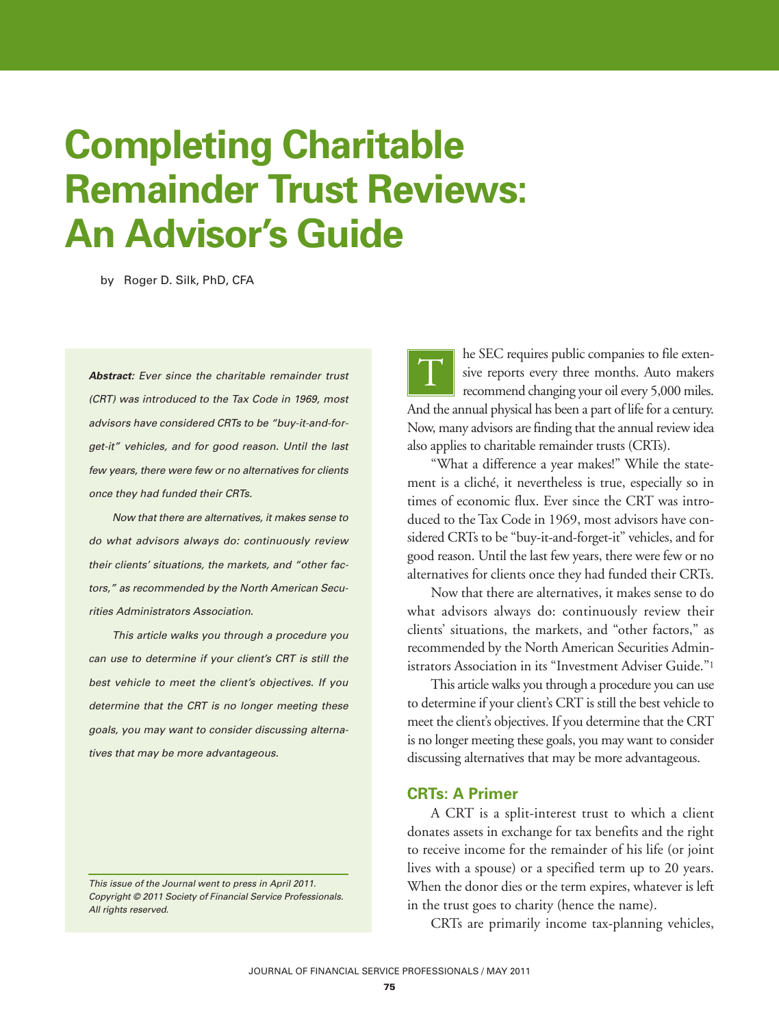# **Completing Charitable Remainder Trust Reviews: An Advisor's Guide**

by Roger D. Silk, PhD, CFA

**Abstract:** Ever since the charitable remainder trust (CRT) was introduced to the Tax Code in 1969, most advisors have considered CRTs to be "buy-it-and-forget-it" vehicles, and for good reason. Until the last few years, there were few or no alternatives for clients once they had funded their CRTs.

Now that there are alternatives, it makes sense to do what advisors always do: continuously review their clients' situations, the markets, and "other factors," as recommended by the North American Securities Administrators Association.

This article walks you through a procedure you can use to determine if your client's CRT is still the best vehicle to meet the client's objectives. If you determine that the CRT is no longer meeting these goals, you may want to consider discussing alternatives that may be more advantageous.

This issue of the Journal went to press in April 2011. Copyright © 2011 Society of Financial Service Professionals. All rights reserved.

he SEC requires public companies to file extensive reports every three months. Auto makers recommend changing your oil every 5,000 miles. And the annual physical has been a part of life for a century. Now, many advisors are finding that the annual review idea also applies to charitable remainder trusts (CRTs). T

"What a difference a year makes!" While the statement is a cliché, it nevertheless is true, especially so in times of economic flux. Ever since the CRT was introduced to the Tax Code in 1969, most advisors have considered CRTs to be "buy-it-and-forget-it" vehicles, and for good reason. Until the last few years, there were few or no alternatives for clients once they had funded their CRTs.

Now that there are alternatives, it makes sense to do what advisors always do: continuously review their clients' situations, the markets, and "other factors," as recommended by the North American Securities Administrators Association in its "Investment Adviser Guide."1

This article walks you through a procedure you can use to determine if your client's CRT is still the best vehicle to meet the client's objectives. If you determine that the CRT is no longer meeting these goals, you may want to consider discussing alternatives that may be more advantageous.

#### **CRTs: A Primer**

A CRT is a split-interest trust to which a client donates assets in exchange for tax benefits and the right to receive income for the remainder of his life (or joint lives with a spouse) or a specified term up to 20 years. When the donor dies or the term expires, whatever is left in the trust goes to charity (hence the name).

CRTs are primarily income tax-planning vehicles,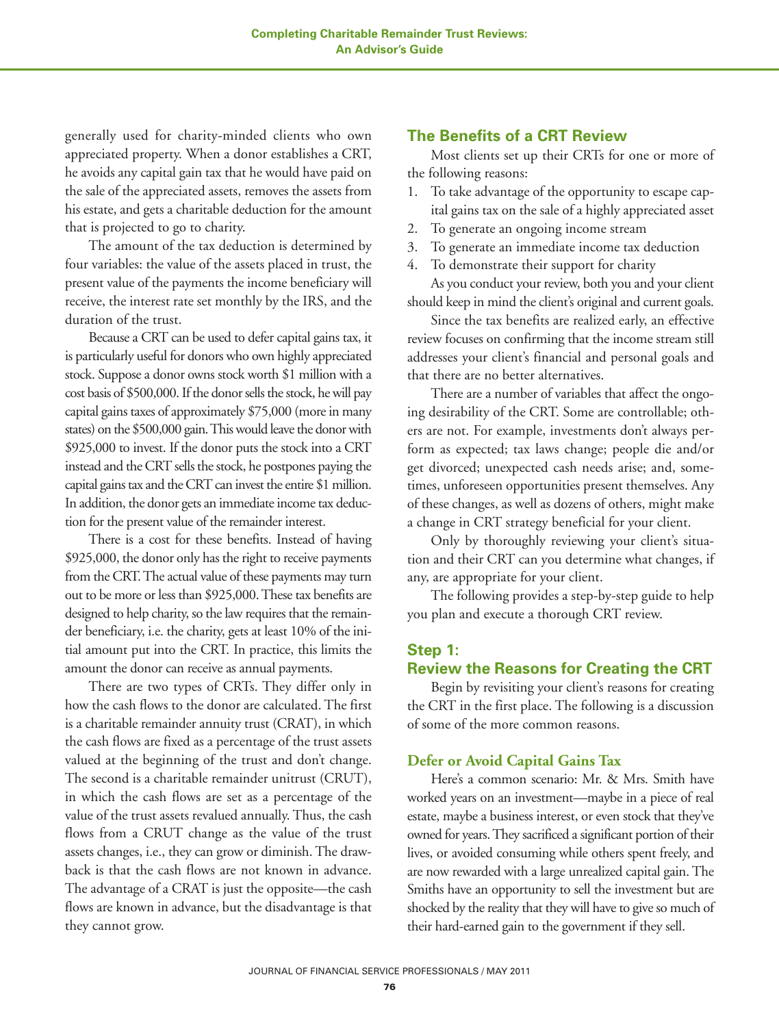generally used for charity-minded clients who own appreciated property. When a donor establishes a CRT, he avoids any capital gain tax that he would have paid on the sale of the appreciated assets, removes the assets from his estate, and gets a charitable deduction for the amount that is projected to go to charity.

The amount of the tax deduction is determined by four variables: the value of the assets placed in trust, the present value of the payments the income beneficiary will receive, the interest rate set monthly by the IRS, and the duration of the trust.

Because a CRT can be used to defer capital gains tax, it is particularly useful for donors who own highly appreciated stock. Suppose a donor owns stock worth \$1 million with a cost basis of \$500,000. If the donor sells the stock, he will pay capital gains taxes of approximately \$75,000 (more in many states) on the \$500,000 gain. This would leave the donor with \$925,000 to invest. If the donor puts the stock into a CRT instead and the CRT sells the stock, he postpones paying the capital gains tax and the CRT can invest the entire \$1 million. In addition, the donor gets an immediate income tax deduction for the present value of the remainder interest.

There is a cost for these benefits. Instead of having \$925,000, the donor only has the right to receive payments from the CRT. The actual value of these payments may turn out to be more or less than \$925,000. These tax benefits are designed to help charity, so the law requires that the remainder beneficiary, i.e. the charity, gets at least 10% of the initial amount put into the CRT. In practice, this limits the amount the donor can receive as annual payments.

There are two types of CRTs. They differ only in how the cash flows to the donor are calculated. The first is a charitable remainder annuity trust (CRAT), in which the cash flows are fixed as a percentage of the trust assets valued at the beginning of the trust and don't change. The second is a charitable remainder unitrust (CRUT), in which the cash flows are set as a percentage of the value of the trust assets revalued annually. Thus, the cash flows from a CRUT change as the value of the trust assets changes, i.e., they can grow or diminish. The drawback is that the cash flows are not known in advance. The advantage of a CRAT is just the opposite—the cash flows are known in advance, but the disadvantage is that they cannot grow.

## **The Benefits of a CRT Review**

Most clients set up their CRTs for one or more of the following reasons:

- 1. To take advantage of the opportunity to escape capital gains tax on the sale of a highly appreciated asset
- 2. To generate an ongoing income stream
- 3. To generate an immediate income tax deduction
- 4. To demonstrate their support for charity

As you conduct your review, both you and your client should keep in mind the client's original and current goals.

Since the tax benefits are realized early, an effective review focuses on confirming that the income stream still addresses your client's financial and personal goals and that there are no better alternatives.

There are a number of variables that affect the ongoing desirability of the CRT. Some are controllable; others are not. For example, investments don't always perform as expected; tax laws change; people die and/or get divorced; unexpected cash needs arise; and, sometimes, unforeseen opportunities present themselves. Any of these changes, as well as dozens of others, might make a change in CRT strategy beneficial for your client.

Only by thoroughly reviewing your client's situation and their CRT can you determine what changes, if any, are appropriate for your client.

The following provides a step-by-step guide to help you plan and execute a thorough CRT review.

## **Step 1:**

## **Review the Reasons for Creating the CRT**

Begin by revisiting your client's reasons for creating the CRT in the first place. The following is a discussion of some of the more common reasons.

#### **Defer or Avoid Capital Gains Tax**

Here's a common scenario: Mr. & Mrs. Smith have worked years on an investment—maybe in a piece of real estate, maybe a business interest, or even stock that they've owned for years. They sacrificed a significant portion of their lives, or avoided consuming while others spent freely, and are now rewarded with a large unrealized capital gain. The Smiths have an opportunity to sell the investment but are shocked by the reality that they will have to give so much of their hard-earned gain to the government if they sell.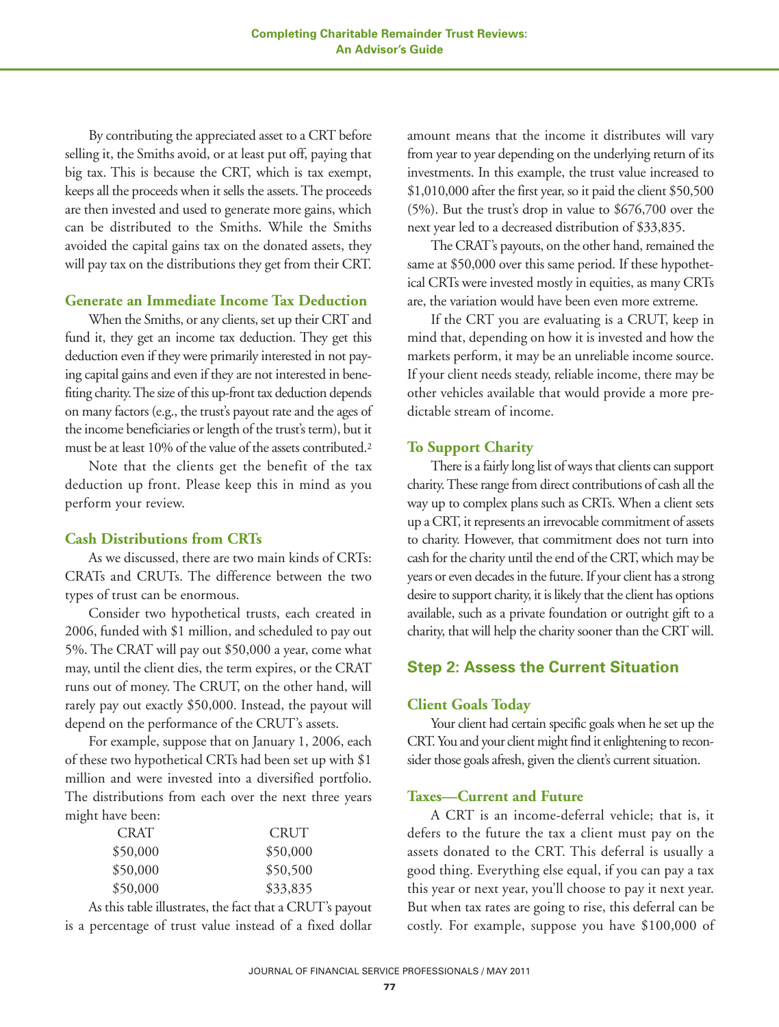By contributing the appreciated asset to a CRT before selling it, the Smiths avoid, or at least put off, paying that big tax. This is because the CRT, which is tax exempt, keeps all the proceeds when it sells the assets. The proceeds are then invested and used to generate more gains, which can be distributed to the Smiths. While the Smiths avoided the capital gains tax on the donated assets, they will pay tax on the distributions they get from their CRT.

#### **Generate an Immediate Income Tax Deduction**

When the Smiths, or any clients, set up their CRT and fund it, they get an income tax deduction. They get this deduction even if they were primarily interested in not paying capital gains and even if they are not interested in benefiting charity. The size of this up-front tax deduction depends on many factors (e.g., the trust's payout rate and the ages of the income beneficiaries or length of the trust's term), but it must be at least 10% of the value of the assets contributed.2

Note that the clients get the benefit of the tax deduction up front. Please keep this in mind as you perform your review.

#### **Cash Distributions from CRTs**

As we discussed, there are two main kinds of CRTs: CRATs and CRUTs. The difference between the two types of trust can be enormous.

Consider two hypothetical trusts, each created in 2006, funded with \$1 million, and scheduled to pay out 5%. The CRAT will pay out \$50,000 a year, come what may, until the client dies, the term expires, or the CRAT runs out of money. The CRUT, on the other hand, will rarely pay out exactly \$50,000. Instead, the payout will depend on the performance of the CRUT's assets.

For example, suppose that on January 1, 2006, each of these two hypothetical CRTs had been set up with \$1 million and were invested into a diversified portfolio. The distributions from each over the next three years might have been:

| <b>CRAT</b> | <b>CRUT</b> |
|-------------|-------------|
| \$50,000    | \$50,000    |
| \$50,000    | \$50,500    |
| \$50,000    | \$33,835    |

As this table illustrates, the fact that a CRUT's payout is a percentage of trust value instead of a fixed dollar

amount means that the income it distributes will vary from year to year depending on the underlying return of its investments. In this example, the trust value increased to \$1,010,000 after the first year, so it paid the client \$50,500 (5%). But the trust's drop in value to \$676,700 over the next year led to a decreased distribution of \$33,835.

The CRAT's payouts, on the other hand, remained the same at \$50,000 over this same period. If these hypothetical CRTs were invested mostly in equities, as many CRTs are, the variation would have been even more extreme.

If the CRT you are evaluating is a CRUT, keep in mind that, depending on how it is invested and how the markets perform, it may be an unreliable income source. If your client needs steady, reliable income, there may be other vehicles available that would provide a more predictable stream of income.

#### **To Support Charity**

There is a fairly long list of ways that clients can support charity. These range from direct contributions of cash all the way up to complex plans such as CRTs. When a client sets up a CRT, it represents an irrevocable commitment of assets to charity. However, that commitment does not turn into cash for the charity until the end of the CRT, which may be years or even decades in the future. If your client has a strong desire to support charity, it is likely that the client has options available, such as a private foundation or outright gift to a charity, that will help the charity sooner than the CRT will.

## **Step 2: Assess the Current Situation**

#### **Client Goals Today**

Your client had certain specific goals when he set up the CRT. You and your client might find it enlightening to reconsider those goals afresh, given the client's current situation.

## **Taxes—Current and Future**

A CRT is an income-deferral vehicle; that is, it defers to the future the tax a client must pay on the assets donated to the CRT. This deferral is usually a good thing. Everything else equal, if you can pay a tax this year or next year, you'll choose to pay it next year. But when tax rates are going to rise, this deferral can be costly. For example, suppose you have \$100,000 of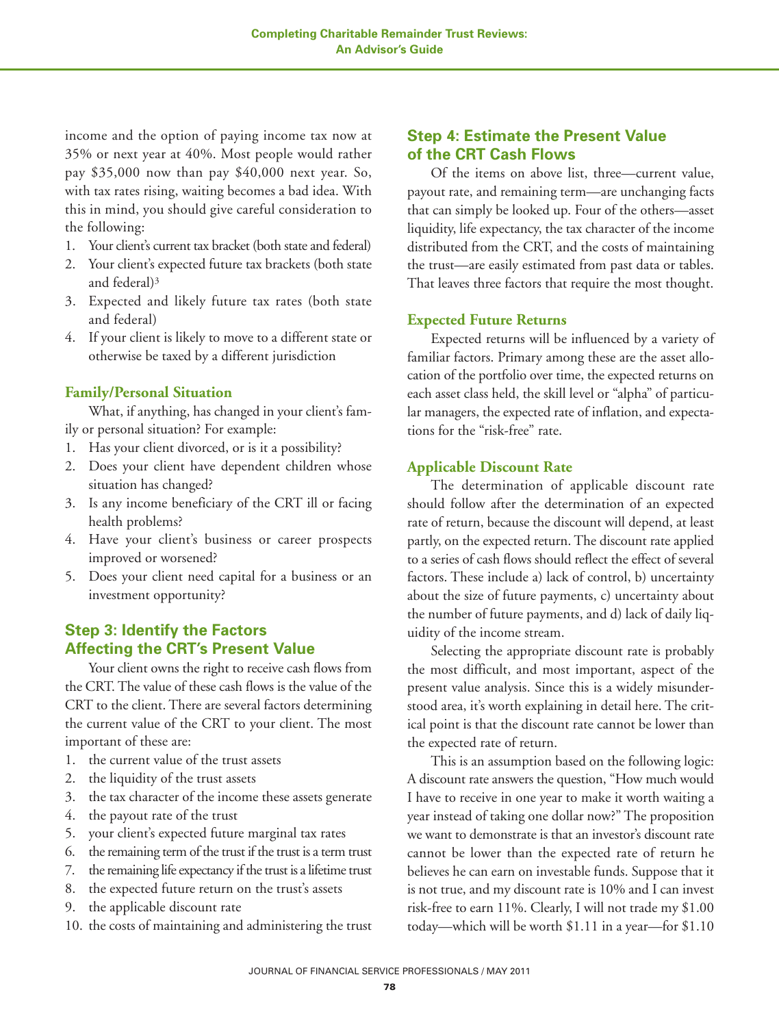income and the option of paying income tax now at 35% or next year at 40%. Most people would rather pay \$35,000 now than pay \$40,000 next year. So, with tax rates rising, waiting becomes a bad idea. With this in mind, you should give careful consideration to the following:

- 1. Your client's current tax bracket (both state and federal)
- 2. Your client's expected future tax brackets (both state and federal)3
- 3. Expected and likely future tax rates (both state and federal)
- 4. If your client is likely to move to a different state or otherwise be taxed by a different jurisdiction

## **Family/Personal Situation**

What, if anything, has changed in your client's family or personal situation? For example:

- 1. Has your client divorced, or is it a possibility?
- 2. Does your client have dependent children whose situation has changed?
- 3. Is any income beneficiary of the CRT ill or facing health problems?
- 4. Have your client's business or career prospects improved or worsened?
- 5. Does your client need capital for a business or an investment opportunity?

# **Step 3: Identify the Factors Affecting the CRT's Present Value**

Your client owns the right to receive cash flows from the CRT. The value of these cash flows is the value of the CRT to the client. There are several factors determining the current value of the CRT to your client. The most important of these are:

- 1. the current value of the trust assets
- 2. the liquidity of the trust assets
- 3. the tax character of the income these assets generate
- 4. the payout rate of the trust
- 5. your client's expected future marginal tax rates
- 6. the remaining term of the trust if the trust is a term trust
- 7. the remaining life expectancy if the trust is a lifetime trust
- 8. the expected future return on the trust's assets
- 9. the applicable discount rate
- 10. the costs of maintaining and administering the trust

## **Step 4: Estimate the Present Value of the CRT Cash Flows**

Of the items on above list, three—current value, payout rate, and remaining term—are unchanging facts that can simply be looked up. Four of the others—asset liquidity, life expectancy, the tax character of the income distributed from the CRT, and the costs of maintaining the trust—are easily estimated from past data or tables. That leaves three factors that require the most thought.

#### **Expected Future Returns**

Expected returns will be influenced by a variety of familiar factors. Primary among these are the asset allocation of the portfolio over time, the expected returns on each asset class held, the skill level or "alpha" of particular managers, the expected rate of inflation, and expectations for the "risk-free" rate.

#### **Applicable Discount Rate**

The determination of applicable discount rate should follow after the determination of an expected rate of return, because the discount will depend, at least partly, on the expected return. The discount rate applied to a series of cash flows should reflect the effect of several factors. These include a) lack of control, b) uncertainty about the size of future payments, c) uncertainty about the number of future payments, and d) lack of daily liquidity of the income stream.

Selecting the appropriate discount rate is probably the most difficult, and most important, aspect of the present value analysis. Since this is a widely misunderstood area, it's worth explaining in detail here. The critical point is that the discount rate cannot be lower than the expected rate of return.

This is an assumption based on the following logic: A discount rate answers the question, "How much would I have to receive in one year to make it worth waiting a year instead of taking one dollar now?" The proposition we want to demonstrate is that an investor's discount rate cannot be lower than the expected rate of return he believes he can earn on investable funds. Suppose that it is not true, and my discount rate is 10% and I can invest risk-free to earn 11%. Clearly, I will not trade my \$1.00 today—which will be worth \$1.11 in a year—for \$1.10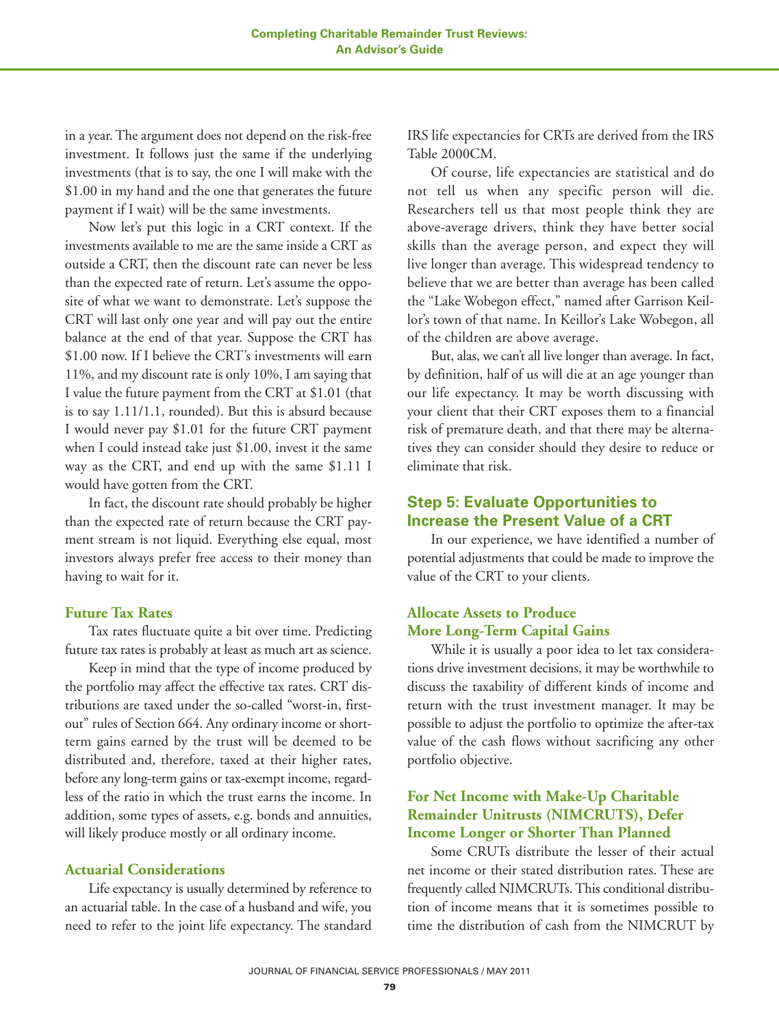in a year. The argument does not depend on the risk-free investment. It follows just the same if the underlying investments (that is to say, the one I will make with the \$1.00 in my hand and the one that generates the future payment if I wait) will be the same investments.

Now let's put this logic in a CRT context. If the investments available to me are the same inside a CRT as outside a CRT, then the discount rate can never be less than the expected rate of return. Let's assume the opposite of what we want to demonstrate. Let's suppose the CRT will last only one year and will pay out the entire balance at the end of that year. Suppose the CRT has \$1.00 now. If I believe the CRT's investments will earn 11%, and my discount rate is only 10%, I am saying that I value the future payment from the CRT at \$1.01 (that is to say 1.11/1.1, rounded). But this is absurd because I would never pay \$1.01 for the future CRT payment when I could instead take just \$1.00, invest it the same way as the CRT, and end up with the same \$1.11 I would have gotten from the CRT.

In fact, the discount rate should probably be higher than the expected rate of return because the CRT payment stream is not liquid. Everything else equal, most investors always prefer free access to their money than having to wait for it.

## **Future Tax Rates**

Tax rates fluctuate quite a bit over time. Predicting future tax rates is probably at least as much art as science.

Keep in mind that the type of income produced by the portfolio may affect the effective tax rates. CRT distributions are taxed under the so-called "worst-in, firstout" rules of Section 664. Any ordinary income or shortterm gains earned by the trust will be deemed to be distributed and, therefore, taxed at their higher rates, before any long-term gains or tax-exempt income, regardless of the ratio in which the trust earns the income. In addition, some types of assets, e.g. bonds and annuities, will likely produce mostly or all ordinary income.

#### **Actuarial Considerations**

Life expectancy is usually determined by reference to an actuarial table. In the case of a husband and wife, you need to refer to the joint life expectancy. The standard IRS life expectancies for CRTs are derived from the IRS Table 2000CM.

Of course, life expectancies are statistical and do not tell us when any specific person will die. Researchers tell us that most people think they are above-average drivers, think they have better social skills than the average person, and expect they will live longer than average. This widespread tendency to believe that we are better than average has been called the "Lake Wobegon effect," named after Garrison Keillor's town of that name. In Keillor's Lake Wobegon, all of the children are above average.

But, alas, we can't all live longer than average. In fact, by definition, half of us will die at an age younger than our life expectancy. It may be worth discussing with your client that their CRT exposes them to a financial risk of premature death, and that there may be alternatives they can consider should they desire to reduce or eliminate that risk.

# **Step 5: Evaluate Opportunities to Increase the Present Value of a CRT**

In our experience, we have identified a number of potential adjustments that could be made to improve the value of the CRT to your clients.

## **Allocate Assets to Produce More Long-Term Capital Gains**

While it is usually a poor idea to let tax considerations drive investment decisions, it may be worthwhile to discuss the taxability of different kinds of income and return with the trust investment manager. It may be possible to adjust the portfolio to optimize the after-tax value of the cash flows without sacrificing any other portfolio objective.

# **For Net Income with Make-Up Charitable Remainder Unitrusts (NIMCRUTS), Defer Income Longer or Shorter Than Planned**

Some CRUTs distribute the lesser of their actual net income or their stated distribution rates. These are frequently called NIMCRUTs. This conditional distribution of income means that it is sometimes possible to time the distribution of cash from the NIMCRUT by